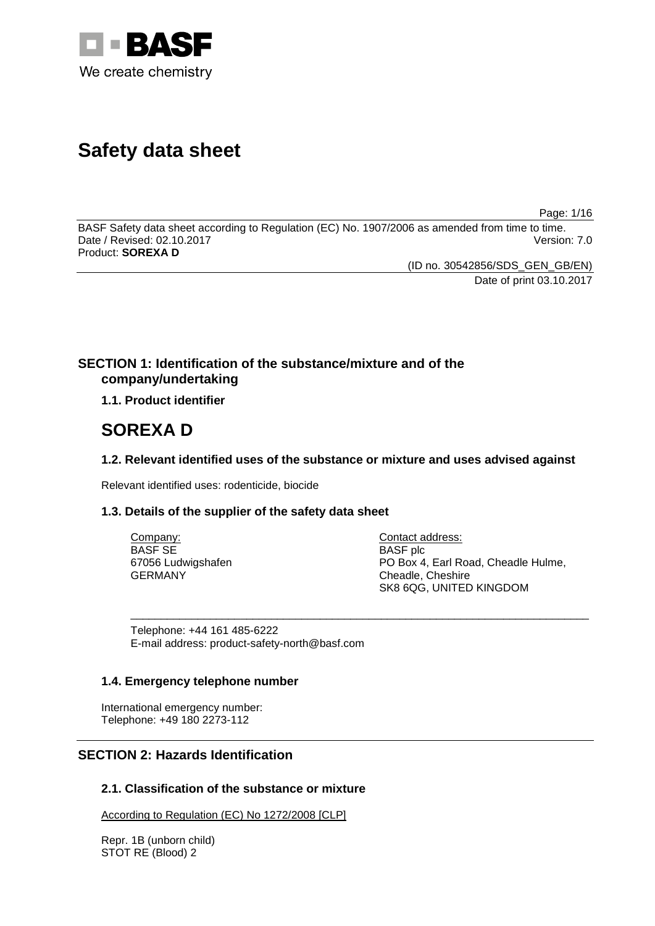

# **Safety data sheet**

Page: 1/16

BASF Safety data sheet according to Regulation (EC) No. 1907/2006 as amended from time to time. Date / Revised: 02.10.2017 Product: **SOREXA D**

(ID no. 30542856/SDS\_GEN\_GB/EN)

Date of print 03.10.2017

## **SECTION 1: Identification of the substance/mixture and of the company/undertaking**

**1.1. Product identifier**

## **SOREXA D**

## **1.2. Relevant identified uses of the substance or mixture and uses advised against**

Relevant identified uses: rodenticide, biocide

## **1.3. Details of the supplier of the safety data sheet**

| Company:           | Contact address:                    |
|--------------------|-------------------------------------|
| <b>BASE SE</b>     | <b>BASF</b> plc                     |
| 67056 Ludwigshafen | PO Box 4, Earl Road, Cheadle Hulme, |
| GERMANY            | Cheadle, Cheshire                   |
|                    | SK8 6QG, UNITED KINGDOM             |

\_\_\_\_\_\_\_\_\_\_\_\_\_\_\_\_\_\_\_\_\_\_\_\_\_\_\_\_\_\_\_\_\_\_\_\_\_\_\_\_\_\_\_\_\_\_\_\_\_\_\_\_\_\_\_\_\_\_\_\_\_\_\_\_\_\_\_\_\_\_\_\_\_\_\_

Telephone: +44 161 485-6222 E-mail address: product-safety-north@basf.com

## **1.4. Emergency telephone number**

International emergency number: Telephone: +49 180 2273-112

## **SECTION 2: Hazards Identification**

## **2.1. Classification of the substance or mixture**

According to Regulation (EC) No 1272/2008 [CLP]

Repr. 1B (unborn child) STOT RE (Blood) 2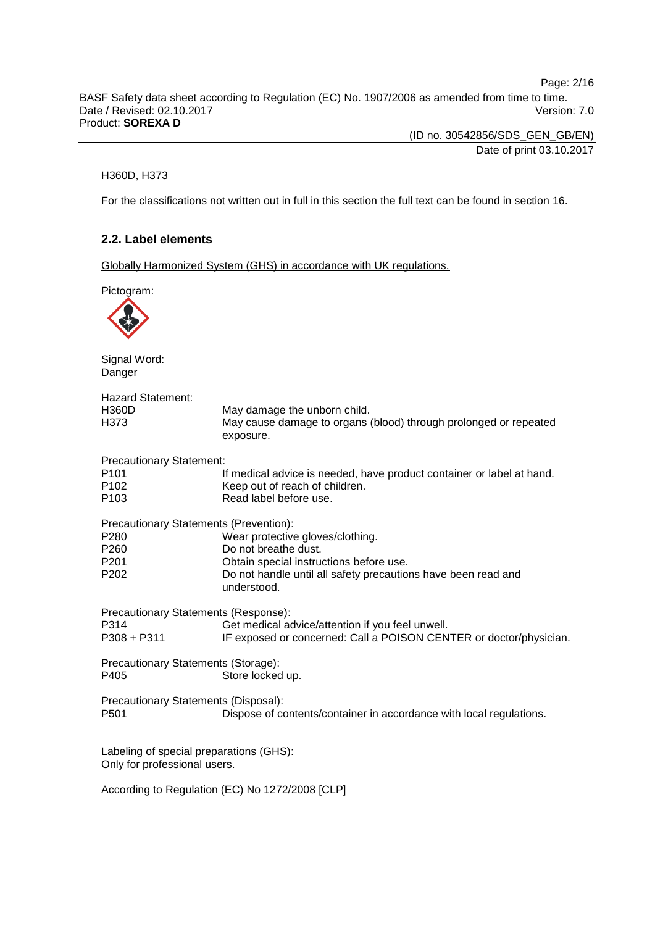Page: 2/16

BASF Safety data sheet according to Regulation (EC) No. 1907/2006 as amended from time to time. Date / Revised: 02.10.2017 Version: 7.0 Product: **SOREXA D**

> (ID no. 30542856/SDS\_GEN\_GB/EN) Date of print 03.10.2017

#### H360D, H373

For the classifications not written out in full in this section the full text can be found in section 16.

## **2.2. Label elements**

Globally Harmonized System (GHS) in accordance with UK regulations.

Pictogram: Signal Word: Danger Hazard Statement: H360D May damage the unborn child. H373 May cause damage to organs (blood) through prolonged or repeated exposure. Precautionary Statement: P101 If medical advice is needed, have product container or label at hand.<br>P102 Seep out of reach of children. P102 Keep out of reach of children.<br>P103 Read label before use. Read label before use. Precautionary Statements (Prevention): P280 Wear protective gloves/clothing.<br>P260 Do not breathe dust. Do not breathe dust. P201 **Contain special instructions before use.**<br>P202 **Do not handle until all safety precaution** Do not handle until all safety precautions have been read and understood. Precautionary Statements (Response): Get medical advice/attention if you feel unwell. P308 + P311 IF exposed or concerned: Call a POISON CENTER or doctor/physician. Precautionary Statements (Storage): P405 Store locked up. Precautionary Statements (Disposal): P501 Dispose of contents/container in accordance with local regulations. Labeling of special preparations (GHS): Only for professional users. According to Regulation (EC) No 1272/2008 [CLP]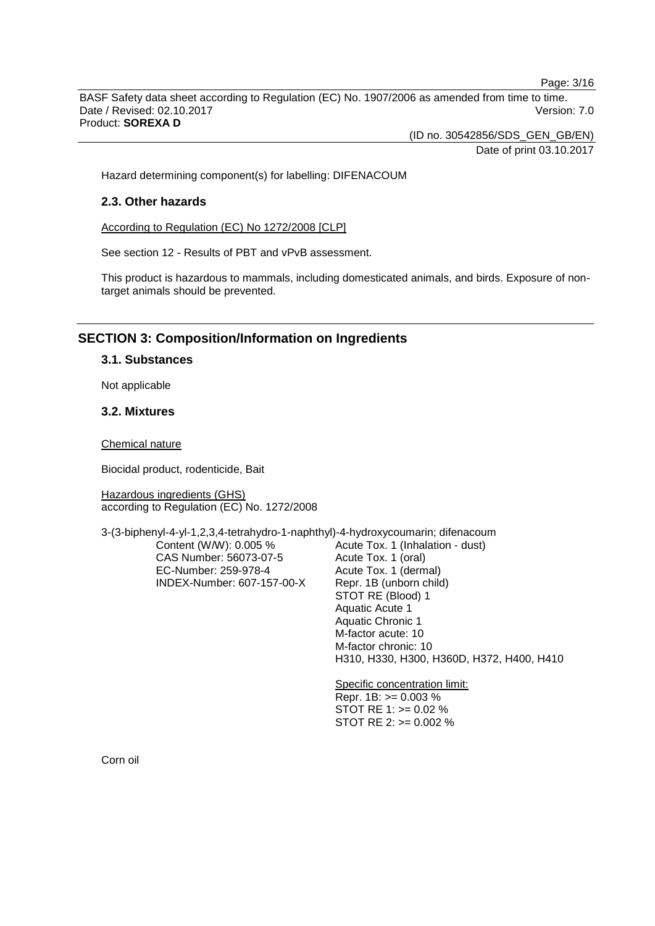Page: 3/16

BASF Safety data sheet according to Regulation (EC) No. 1907/2006 as amended from time to time. Date / Revised: 02.10.2017 Version: 7.0 Product: **SOREXA D**

(ID no. 30542856/SDS\_GEN\_GB/EN)

Date of print 03.10.2017

Hazard determining component(s) for labelling: DIFENACOUM

## **2.3. Other hazards**

According to Regulation (EC) No 1272/2008 [CLP]

See section 12 - Results of PBT and vPvB assessment.

This product is hazardous to mammals, including domesticated animals, and birds. Exposure of nontarget animals should be prevented.

## **SECTION 3: Composition/Information on Ingredients**

## **3.1. Substances**

Not applicable

## **3.2. Mixtures**

Chemical nature

Biocidal product, rodenticide, Bait

Hazardous ingredients (GHS) according to Regulation (EC) No. 1272/2008

3-(3-biphenyl-4-yl-1,2,3,4-tetrahydro-1-naphthyl)-4-hydroxycoumarin; difenacoum

Content (W/W): 0.005 % CAS Number: 56073-07-5 EC-Number: 259-978-4 INDEX-Number: 607-157-00-X Acute Tox. 1 (Inhalation - dust) Acute Tox. 1 (oral) Acute Tox. 1 (dermal) Repr. 1B (unborn child) STOT RE (Blood) 1 Aquatic Acute 1 Aquatic Chronic 1 M-factor acute: 10 M-factor chronic: 10 H310, H330, H300, H360D, H372, H400, H410

Specific concentration limit: Repr. 1B: >= 0.003 % STOT RE 1: >= 0.02 % STOT RE 2: >= 0.002 %

Corn oil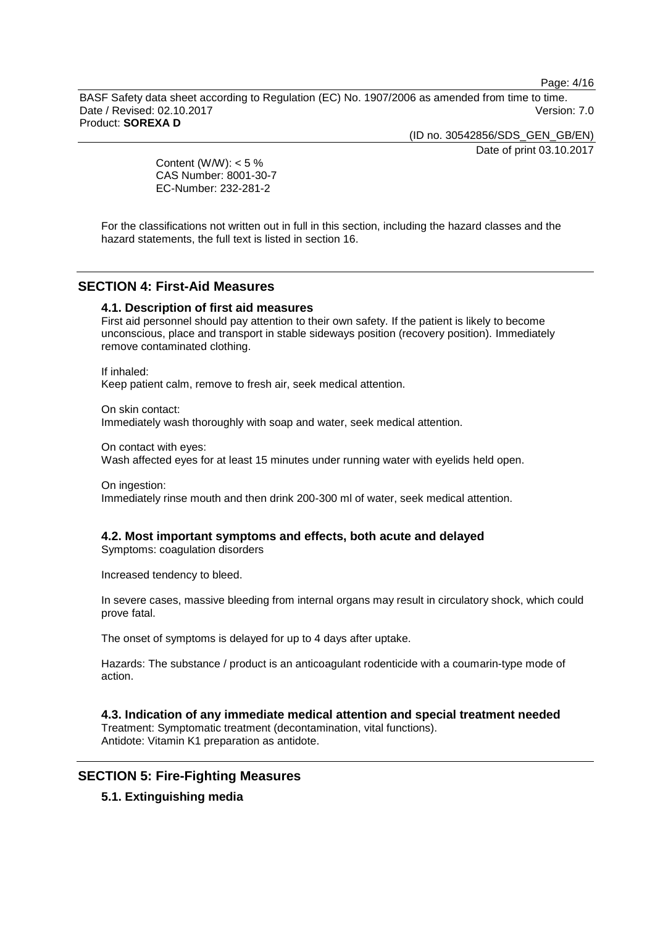Page: 4/16

BASF Safety data sheet according to Regulation (EC) No. 1907/2006 as amended from time to time. Date / Revised: 02.10.2017 Version: 7.0 Product: **SOREXA D**

(ID no. 30542856/SDS\_GEN\_GB/EN)

Date of print 03.10.2017

Content (W/W):  $< 5 \%$ CAS Number: 8001-30-7 EC-Number: 232-281-2

For the classifications not written out in full in this section, including the hazard classes and the hazard statements, the full text is listed in section 16.

## **SECTION 4: First-Aid Measures**

#### **4.1. Description of first aid measures**

First aid personnel should pay attention to their own safety. If the patient is likely to become unconscious, place and transport in stable sideways position (recovery position). Immediately remove contaminated clothing.

If inhaled: Keep patient calm, remove to fresh air, seek medical attention.

On skin contact: Immediately wash thoroughly with soap and water, seek medical attention.

On contact with eyes:

Wash affected eyes for at least 15 minutes under running water with eyelids held open.

On ingestion: Immediately rinse mouth and then drink 200-300 ml of water, seek medical attention.

## **4.2. Most important symptoms and effects, both acute and delayed**

Symptoms: coagulation disorders

Increased tendency to bleed.

In severe cases, massive bleeding from internal organs may result in circulatory shock, which could prove fatal.

The onset of symptoms is delayed for up to 4 days after uptake.

Hazards: The substance / product is an anticoagulant rodenticide with a coumarin-type mode of action.

**4.3. Indication of any immediate medical attention and special treatment needed** Treatment: Symptomatic treatment (decontamination, vital functions).

Antidote: Vitamin K1 preparation as antidote.

## **SECTION 5: Fire-Fighting Measures**

#### **5.1. Extinguishing media**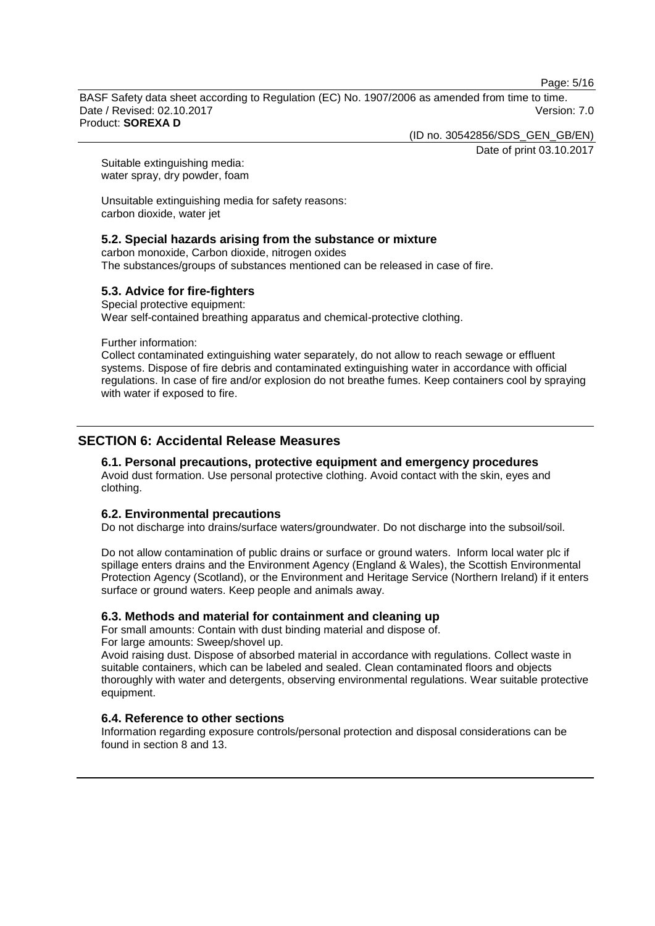Page: 5/16

BASF Safety data sheet according to Regulation (EC) No. 1907/2006 as amended from time to time. Date / Revised: 02.10.2017 **Version: 7.0** Product: **SOREXA D**

(ID no. 30542856/SDS\_GEN\_GB/EN)

Date of print 03.10.2017

Suitable extinguishing media: water spray, dry powder, foam

Unsuitable extinguishing media for safety reasons: carbon dioxide, water jet

## **5.2. Special hazards arising from the substance or mixture**

carbon monoxide, Carbon dioxide, nitrogen oxides The substances/groups of substances mentioned can be released in case of fire.

## **5.3. Advice for fire-fighters**

Special protective equipment: Wear self-contained breathing apparatus and chemical-protective clothing.

Further information:

Collect contaminated extinguishing water separately, do not allow to reach sewage or effluent systems. Dispose of fire debris and contaminated extinguishing water in accordance with official regulations. In case of fire and/or explosion do not breathe fumes. Keep containers cool by spraying with water if exposed to fire.

## **SECTION 6: Accidental Release Measures**

## **6.1. Personal precautions, protective equipment and emergency procedures**

Avoid dust formation. Use personal protective clothing. Avoid contact with the skin, eyes and clothing.

## **6.2. Environmental precautions**

Do not discharge into drains/surface waters/groundwater. Do not discharge into the subsoil/soil.

Do not allow contamination of public drains or surface or ground waters. Inform local water plc if spillage enters drains and the Environment Agency (England & Wales), the Scottish Environmental Protection Agency (Scotland), or the Environment and Heritage Service (Northern Ireland) if it enters surface or ground waters. Keep people and animals away.

## **6.3. Methods and material for containment and cleaning up**

For small amounts: Contain with dust binding material and dispose of.

For large amounts: Sweep/shovel up.

Avoid raising dust. Dispose of absorbed material in accordance with regulations. Collect waste in suitable containers, which can be labeled and sealed. Clean contaminated floors and objects thoroughly with water and detergents, observing environmental regulations. Wear suitable protective equipment.

## **6.4. Reference to other sections**

Information regarding exposure controls/personal protection and disposal considerations can be found in section 8 and 13.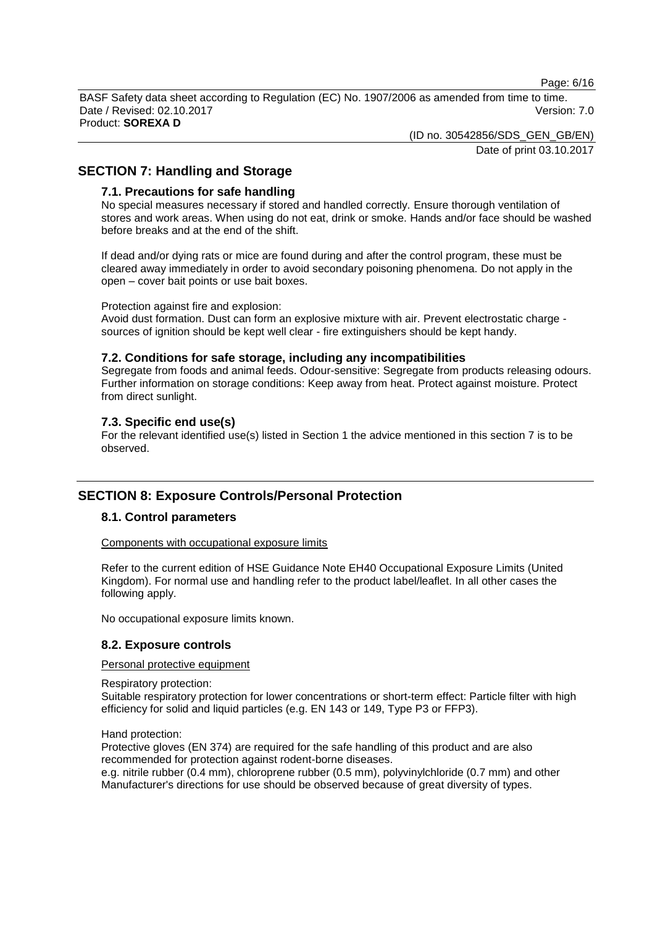Page: 6/16

BASF Safety data sheet according to Regulation (EC) No. 1907/2006 as amended from time to time. Date / Revised: 02.10.2017 **Version: 7.0** Product: **SOREXA D**

(ID no. 30542856/SDS\_GEN\_GB/EN)

Date of print 03.10.2017

## **SECTION 7: Handling and Storage**

#### **7.1. Precautions for safe handling**

No special measures necessary if stored and handled correctly. Ensure thorough ventilation of stores and work areas. When using do not eat, drink or smoke. Hands and/or face should be washed before breaks and at the end of the shift.

If dead and/or dying rats or mice are found during and after the control program, these must be cleared away immediately in order to avoid secondary poisoning phenomena. Do not apply in the open – cover bait points or use bait boxes.

#### Protection against fire and explosion:

Avoid dust formation. Dust can form an explosive mixture with air. Prevent electrostatic charge sources of ignition should be kept well clear - fire extinguishers should be kept handy.

#### **7.2. Conditions for safe storage, including any incompatibilities**

Segregate from foods and animal feeds. Odour-sensitive: Segregate from products releasing odours. Further information on storage conditions: Keep away from heat. Protect against moisture. Protect from direct sunlight.

## **7.3. Specific end use(s)**

For the relevant identified use(s) listed in Section 1 the advice mentioned in this section 7 is to be observed.

## **SECTION 8: Exposure Controls/Personal Protection**

## **8.1. Control parameters**

#### Components with occupational exposure limits

Refer to the current edition of HSE Guidance Note EH40 Occupational Exposure Limits (United Kingdom). For normal use and handling refer to the product label/leaflet. In all other cases the following apply.

No occupational exposure limits known.

## **8.2. Exposure controls**

#### Personal protective equipment

Respiratory protection:

Suitable respiratory protection for lower concentrations or short-term effect: Particle filter with high efficiency for solid and liquid particles (e.g. EN 143 or 149, Type P3 or FFP3).

#### Hand protection:

Protective gloves (EN 374) are required for the safe handling of this product and are also recommended for protection against rodent-borne diseases.

e.g. nitrile rubber (0.4 mm), chloroprene rubber (0.5 mm), polyvinylchloride (0.7 mm) and other Manufacturer's directions for use should be observed because of great diversity of types.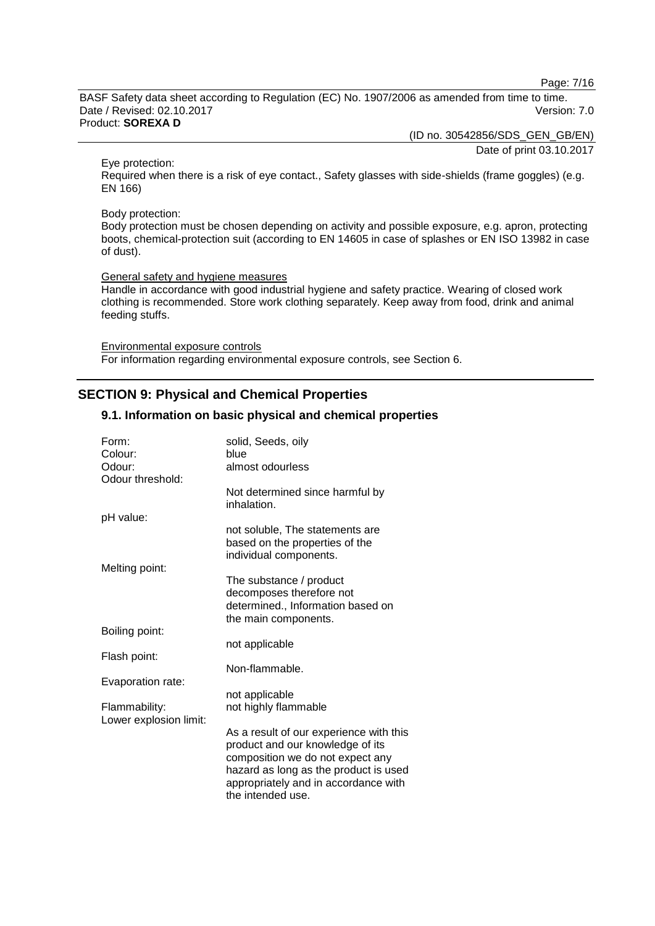Page: 7/16

BASF Safety data sheet according to Regulation (EC) No. 1907/2006 as amended from time to time. Date / Revised: 02.10.2017 Version: 7.0 Product: **SOREXA D**

(ID no. 30542856/SDS\_GEN\_GB/EN)

Date of print 03.10.2017

Eye protection:

Required when there is a risk of eye contact., Safety glasses with side-shields (frame goggles) (e.g. EN 166)

#### Body protection:

Body protection must be chosen depending on activity and possible exposure, e.g. apron, protecting boots, chemical-protection suit (according to EN 14605 in case of splashes or EN ISO 13982 in case of dust).

General safety and hygiene measures

Handle in accordance with good industrial hygiene and safety practice. Wearing of closed work clothing is recommended. Store work clothing separately. Keep away from food, drink and animal feeding stuffs.

Environmental exposure controls For information regarding environmental exposure controls, see Section 6.

## **SECTION 9: Physical and Chemical Properties**

#### **9.1. Information on basic physical and chemical properties**

| Form:<br>Colour:                        | solid, Seeds, oily<br>blue                                                                                                                                                                                            |
|-----------------------------------------|-----------------------------------------------------------------------------------------------------------------------------------------------------------------------------------------------------------------------|
| Odour:                                  | almost odourless                                                                                                                                                                                                      |
| Odour threshold:                        |                                                                                                                                                                                                                       |
|                                         | Not determined since harmful by<br>inhalation.                                                                                                                                                                        |
| pH value:                               |                                                                                                                                                                                                                       |
|                                         | not soluble, The statements are<br>based on the properties of the<br>individual components.                                                                                                                           |
| Melting point:                          |                                                                                                                                                                                                                       |
|                                         | The substance / product<br>decomposes therefore not<br>determined., Information based on<br>the main components.                                                                                                      |
| Boiling point:                          |                                                                                                                                                                                                                       |
|                                         | not applicable                                                                                                                                                                                                        |
| Flash point:                            |                                                                                                                                                                                                                       |
|                                         | Non-flammable.                                                                                                                                                                                                        |
| Evaporation rate:                       |                                                                                                                                                                                                                       |
|                                         | not applicable                                                                                                                                                                                                        |
| Flammability:<br>Lower explosion limit: | not highly flammable                                                                                                                                                                                                  |
|                                         | As a result of our experience with this<br>product and our knowledge of its<br>composition we do not expect any<br>hazard as long as the product is used<br>appropriately and in accordance with<br>the intended use. |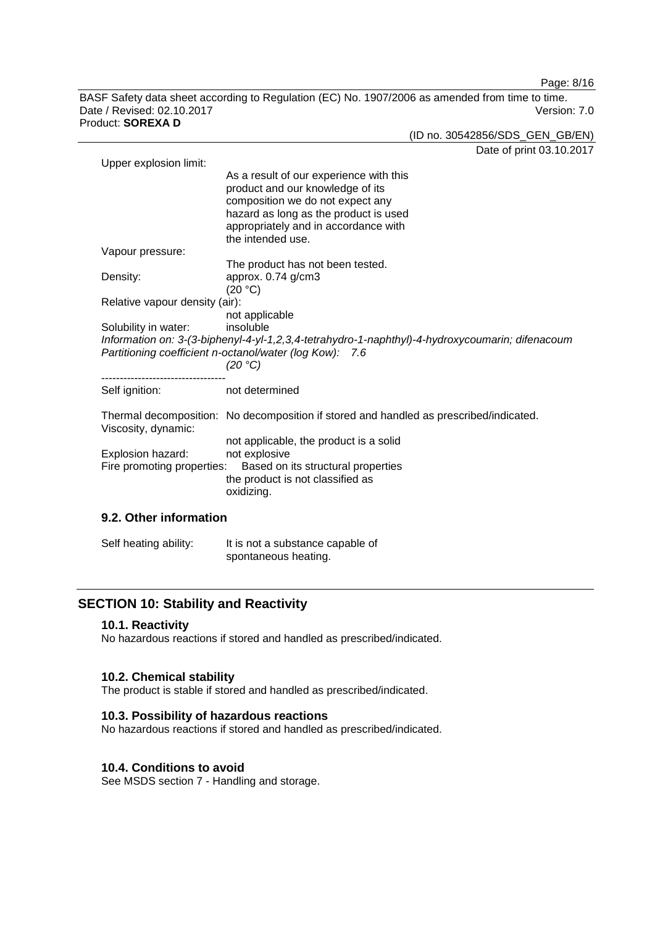Page: 8/16

BASF Safety data sheet according to Regulation (EC) No. 1907/2006 as amended from time to time. Date / Revised: 02.10.2017 Version: 7.0 Product: **SOREXA D**

(ID no. 30542856/SDS\_GEN\_GB/EN)

Date of print 03.10.2017

|                                                                        | $0.1$ PHILL 00.10.20                                                                                                                                                                                                  |
|------------------------------------------------------------------------|-----------------------------------------------------------------------------------------------------------------------------------------------------------------------------------------------------------------------|
| Upper explosion limit:                                                 | As a result of our experience with this<br>product and our knowledge of its<br>composition we do not expect any<br>hazard as long as the product is used<br>appropriately and in accordance with<br>the intended use. |
| Vapour pressure:                                                       |                                                                                                                                                                                                                       |
| Density:                                                               | The product has not been tested.<br>approx. $0.74$ g/cm3<br>(20 °C)                                                                                                                                                   |
| Relative vapour density (air):                                         |                                                                                                                                                                                                                       |
| Solubility in water:                                                   | not applicable<br>insoluble<br>Information on: 3-(3-biphenyl-4-yl-1,2,3,4-tetrahydro-1-naphthyl)-4-hydroxycoumarin; difenacoum<br>Partitioning coefficient n-octanol/water (log Kow): 7.6<br>(20 °C)                  |
| ----------------------------<br>Self ignition:                         | not determined                                                                                                                                                                                                        |
| Viscosity, dynamic:<br>Explosion hazard:<br>Fire promoting properties: | Thermal decomposition: No decomposition if stored and handled as prescribed/indicated.<br>not applicable, the product is a solid<br>not explosive<br>Based on its structural properties                               |
|                                                                        | the product is not classified as<br>oxidizing.                                                                                                                                                                        |
| 9.2. Other information                                                 |                                                                                                                                                                                                                       |
| Self heating ability:                                                  | It is not a substance capable of                                                                                                                                                                                      |

spontaneous heating.

## **SECTION 10: Stability and Reactivity**

## **10.1. Reactivity**

No hazardous reactions if stored and handled as prescribed/indicated.

#### **10.2. Chemical stability**

The product is stable if stored and handled as prescribed/indicated.

## **10.3. Possibility of hazardous reactions**

No hazardous reactions if stored and handled as prescribed/indicated.

#### **10.4. Conditions to avoid**

See MSDS section 7 - Handling and storage.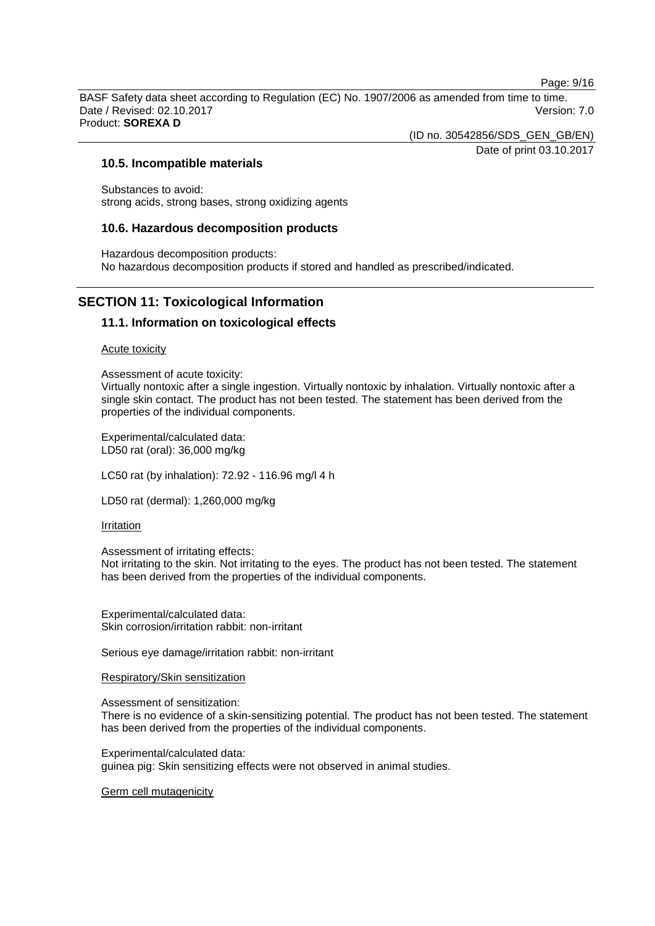Page: 9/16

BASF Safety data sheet according to Regulation (EC) No. 1907/2006 as amended from time to time. Date / Revised: 02.10.2017 Version: 7.0 Product: **SOREXA D**

(ID no. 30542856/SDS\_GEN\_GB/EN)

Date of print 03.10.2017

#### **10.5. Incompatible materials**

Substances to avoid: strong acids, strong bases, strong oxidizing agents

#### **10.6. Hazardous decomposition products**

Hazardous decomposition products: No hazardous decomposition products if stored and handled as prescribed/indicated.

## **SECTION 11: Toxicological Information**

## **11.1. Information on toxicological effects**

#### Acute toxicity

Assessment of acute toxicity: Virtually nontoxic after a single ingestion. Virtually nontoxic by inhalation. Virtually nontoxic after a single skin contact. The product has not been tested. The statement has been derived from the properties of the individual components.

Experimental/calculated data: LD50 rat (oral): 36,000 mg/kg

LC50 rat (by inhalation): 72.92 - 116.96 mg/l 4 h

LD50 rat (dermal): 1,260,000 mg/kg

#### Irritation

Assessment of irritating effects:

Not irritating to the skin. Not irritating to the eyes. The product has not been tested. The statement has been derived from the properties of the individual components.

Experimental/calculated data: Skin corrosion/irritation rabbit: non-irritant

Serious eye damage/irritation rabbit: non-irritant

Respiratory/Skin sensitization

Assessment of sensitization:

There is no evidence of a skin-sensitizing potential. The product has not been tested. The statement has been derived from the properties of the individual components.

Experimental/calculated data: guinea pig: Skin sensitizing effects were not observed in animal studies.

Germ cell mutagenicity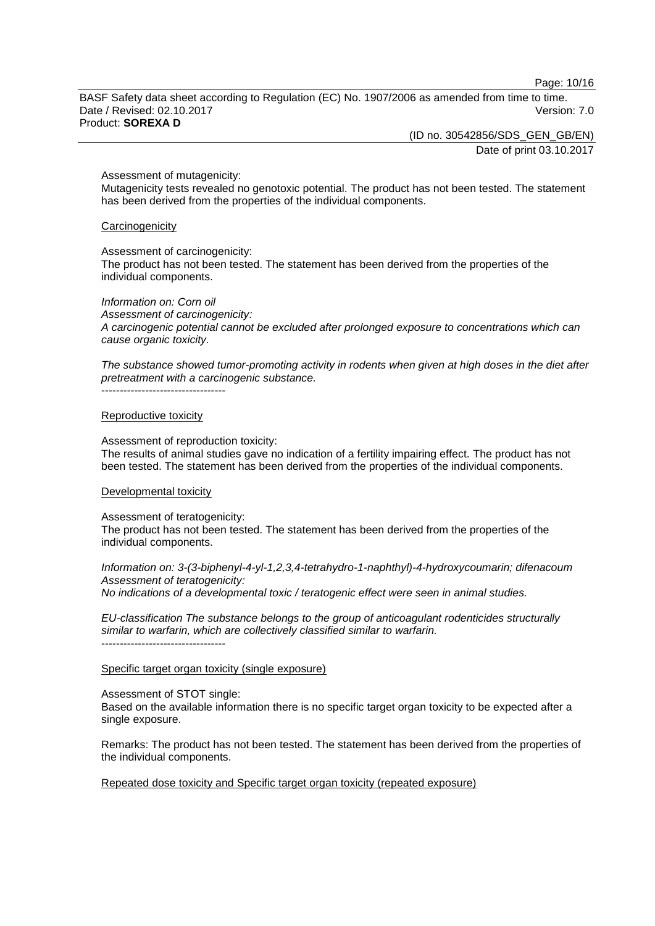Page: 10/16

BASF Safety data sheet according to Regulation (EC) No. 1907/2006 as amended from time to time. Date / Revised: 02.10.2017 **Version: 7.0** Product: **SOREXA D**

(ID no. 30542856/SDS\_GEN\_GB/EN)

Date of print 03.10.2017

#### Assessment of mutagenicity:

Mutagenicity tests revealed no genotoxic potential. The product has not been tested. The statement has been derived from the properties of the individual components.

#### **Carcinogenicity**

Assessment of carcinogenicity:

The product has not been tested. The statement has been derived from the properties of the individual components.

*Information on: Corn oil*

*Assessment of carcinogenicity: A carcinogenic potential cannot be excluded after prolonged exposure to concentrations which can cause organic toxicity.*

*The substance showed tumor-promoting activity in rodents when given at high doses in the diet after pretreatment with a carcinogenic substance.*

----------------------------------

#### Reproductive toxicity

Assessment of reproduction toxicity: The results of animal studies gave no indication of a fertility impairing effect. The product has not

been tested. The statement has been derived from the properties of the individual components.

#### Developmental toxicity

Assessment of teratogenicity: The product has not been tested. The statement has been derived from the properties of the individual components.

*Information on: 3-(3-biphenyl-4-yl-1,2,3,4-tetrahydro-1-naphthyl)-4-hydroxycoumarin; difenacoum Assessment of teratogenicity: No indications of a developmental toxic / teratogenic effect were seen in animal studies.*

*EU-classification The substance belongs to the group of anticoagulant rodenticides structurally similar to warfarin, which are collectively classified similar to warfarin.* ----------------------------------

#### Specific target organ toxicity (single exposure)

#### Assessment of STOT single:

Based on the available information there is no specific target organ toxicity to be expected after a single exposure.

Remarks: The product has not been tested. The statement has been derived from the properties of the individual components.

Repeated dose toxicity and Specific target organ toxicity (repeated exposure)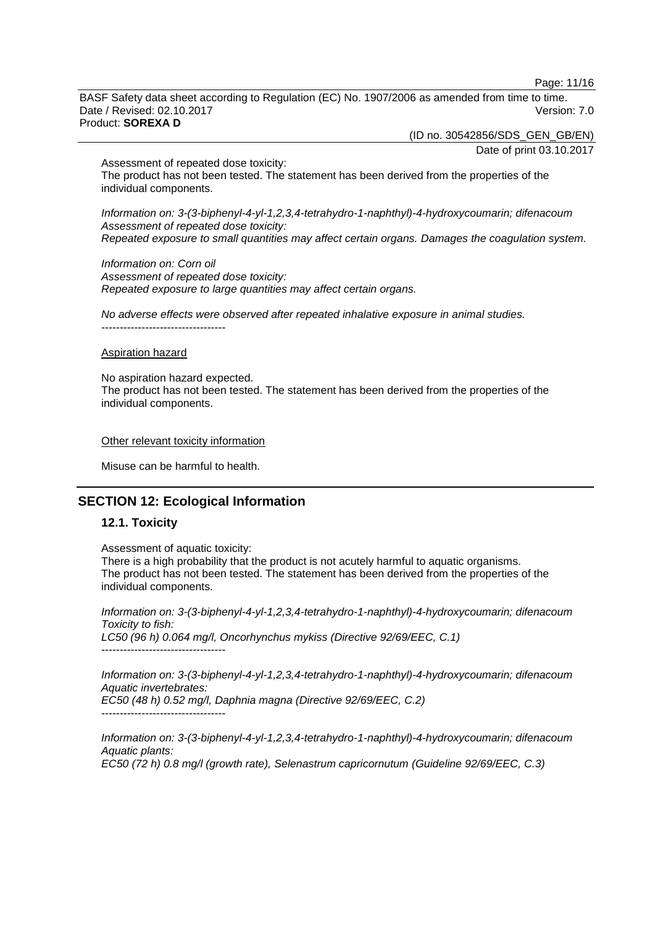Page: 11/16

BASF Safety data sheet according to Regulation (EC) No. 1907/2006 as amended from time to time. Date / Revised: 02.10.2017 Version: 7.0 Product: **SOREXA D**

(ID no. 30542856/SDS\_GEN\_GB/EN)

Date of print 03.10.2017

Assessment of repeated dose toxicity:

The product has not been tested. The statement has been derived from the properties of the individual components.

*Information on: 3-(3-biphenyl-4-yl-1,2,3,4-tetrahydro-1-naphthyl)-4-hydroxycoumarin; difenacoum Assessment of repeated dose toxicity: Repeated exposure to small quantities may affect certain organs. Damages the coagulation system.*

*Information on: Corn oil Assessment of repeated dose toxicity: Repeated exposure to large quantities may affect certain organs.*

*No adverse effects were observed after repeated inhalative exposure in animal studies.* ----------------------------------

#### Aspiration hazard

No aspiration hazard expected. The product has not been tested. The statement has been derived from the properties of the individual components.

Other relevant toxicity information

Misuse can be harmful to health.

## **SECTION 12: Ecological Information**

## **12.1. Toxicity**

Assessment of aquatic toxicity:

There is a high probability that the product is not acutely harmful to aquatic organisms. The product has not been tested. The statement has been derived from the properties of the individual components.

*Information on: 3-(3-biphenyl-4-yl-1,2,3,4-tetrahydro-1-naphthyl)-4-hydroxycoumarin; difenacoum Toxicity to fish: LC50 (96 h) 0.064 mg/l, Oncorhynchus mykiss (Directive 92/69/EEC, C.1)* ----------------------------------

*Information on: 3-(3-biphenyl-4-yl-1,2,3,4-tetrahydro-1-naphthyl)-4-hydroxycoumarin; difenacoum Aquatic invertebrates: EC50 (48 h) 0.52 mg/l, Daphnia magna (Directive 92/69/EEC, C.2)* ----------------------------------

*Information on: 3-(3-biphenyl-4-yl-1,2,3,4-tetrahydro-1-naphthyl)-4-hydroxycoumarin; difenacoum Aquatic plants: EC50 (72 h) 0.8 mg/l (growth rate), Selenastrum capricornutum (Guideline 92/69/EEC, C.3)*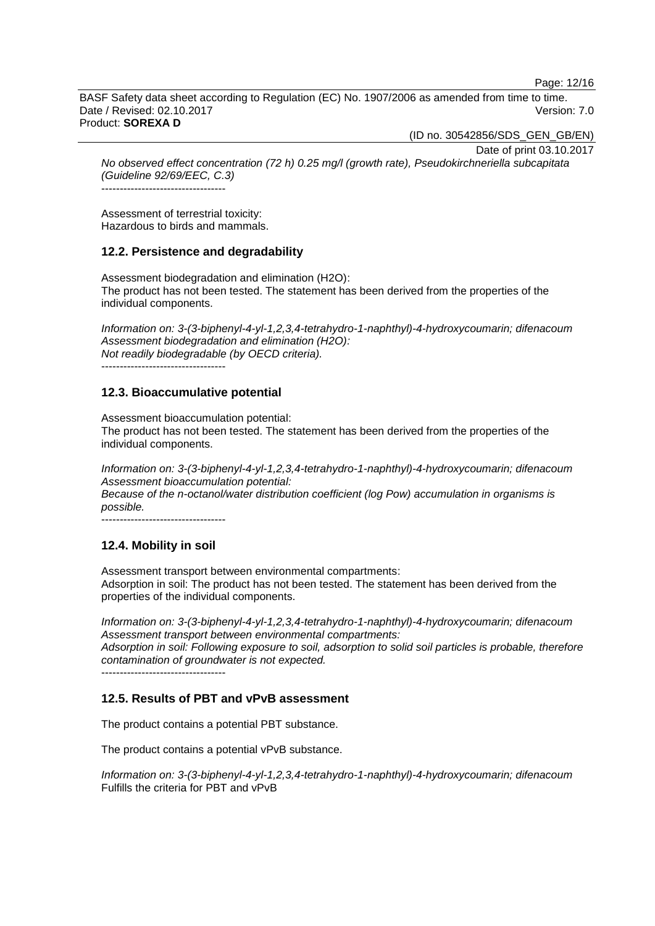Page: 12/16

BASF Safety data sheet according to Regulation (EC) No. 1907/2006 as amended from time to time. Date / Revised: 02.10.2017 **Version: 7.0** Product: **SOREXA D**

(ID no. 30542856/SDS\_GEN\_GB/EN)

Date of print 03.10.2017

*No observed effect concentration (72 h) 0.25 mg/l (growth rate), Pseudokirchneriella subcapitata (Guideline 92/69/EEC, C.3)*

----------------------------------

Assessment of terrestrial toxicity: Hazardous to birds and mammals.

## **12.2. Persistence and degradability**

Assessment biodegradation and elimination (H2O): The product has not been tested. The statement has been derived from the properties of the individual components.

*Information on: 3-(3-biphenyl-4-yl-1,2,3,4-tetrahydro-1-naphthyl)-4-hydroxycoumarin; difenacoum Assessment biodegradation and elimination (H2O): Not readily biodegradable (by OECD criteria).* ----------------------------------

**12.3. Bioaccumulative potential**

Assessment bioaccumulation potential: The product has not been tested. The statement has been derived from the properties of the individual components.

*Information on: 3-(3-biphenyl-4-yl-1,2,3,4-tetrahydro-1-naphthyl)-4-hydroxycoumarin; difenacoum Assessment bioaccumulation potential: Because of the n-octanol/water distribution coefficient (log Pow) accumulation in organisms is possible.*

----------------------------------

## **12.4. Mobility in soil**

Assessment transport between environmental compartments: Adsorption in soil: The product has not been tested. The statement has been derived from the properties of the individual components.

*Information on: 3-(3-biphenyl-4-yl-1,2,3,4-tetrahydro-1-naphthyl)-4-hydroxycoumarin; difenacoum Assessment transport between environmental compartments: Adsorption in soil: Following exposure to soil, adsorption to solid soil particles is probable, therefore contamination of groundwater is not expected.*  $-$ 

## **12.5. Results of PBT and vPvB assessment**

The product contains a potential PBT substance.

The product contains a potential vPvB substance.

*Information on: 3-(3-biphenyl-4-yl-1,2,3,4-tetrahydro-1-naphthyl)-4-hydroxycoumarin; difenacoum* Fulfills the criteria for PBT and vPvB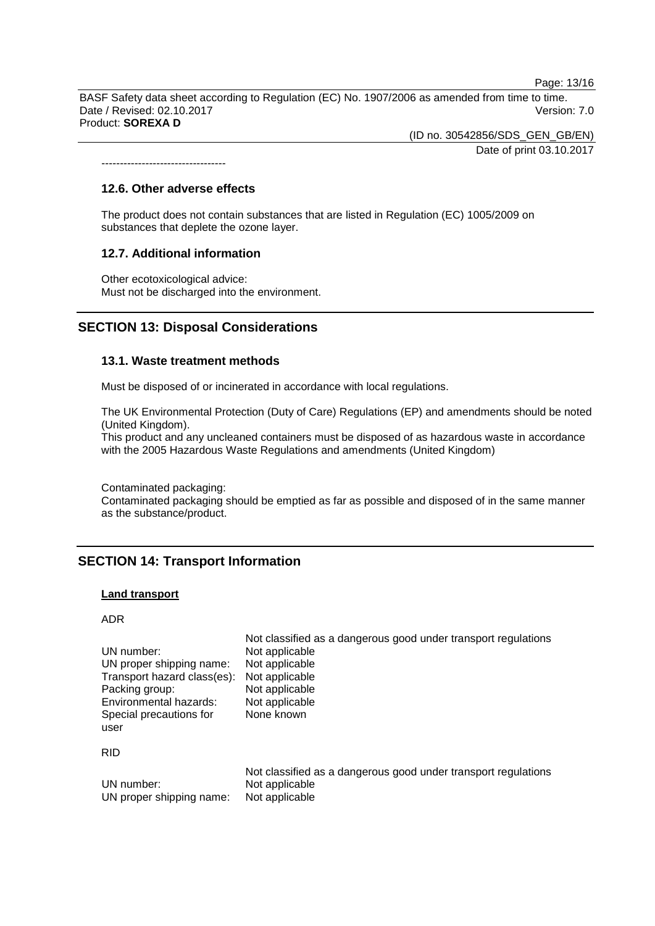Page: 13/16

BASF Safety data sheet according to Regulation (EC) No. 1907/2006 as amended from time to time. Date / Revised: 02.10.2017 Version: 7.0 Product: **SOREXA D**

> (ID no. 30542856/SDS\_GEN\_GB/EN) Date of print 03.10.2017

#### **12.6. Other adverse effects**

*----------------------------------*

The product does not contain substances that are listed in Regulation (EC) 1005/2009 on substances that deplete the ozone layer.

#### **12.7. Additional information**

Other ecotoxicological advice: Must not be discharged into the environment.

## **SECTION 13: Disposal Considerations**

#### **13.1. Waste treatment methods**

Must be disposed of or incinerated in accordance with local regulations.

The UK Environmental Protection (Duty of Care) Regulations (EP) and amendments should be noted (United Kingdom).

This product and any uncleaned containers must be disposed of as hazardous waste in accordance with the 2005 Hazardous Waste Regulations and amendments (United Kingdom)

Contaminated packaging:

Contaminated packaging should be emptied as far as possible and disposed of in the same manner as the substance/product.

Not classified as a dangerous good under transport regulations

## **SECTION 14: Transport Information**

#### **Land transport**

ADR

| UN number:<br>UN proper shipping name: | <u>Hot placemed as a dangerous good ander transport regulations</u><br>Not applicable<br>Not applicable |
|----------------------------------------|---------------------------------------------------------------------------------------------------------|
| Transport hazard class(es):            | Not applicable                                                                                          |
| Packing group:                         | Not applicable                                                                                          |
| Environmental hazards:                 | Not applicable                                                                                          |
| Special precautions for<br>user        | None known                                                                                              |
| <b>RID</b>                             |                                                                                                         |
| UN number:<br>UN proper shipping name: | Not classified as a dangerous good under transport regulations<br>Not applicable<br>Not applicable      |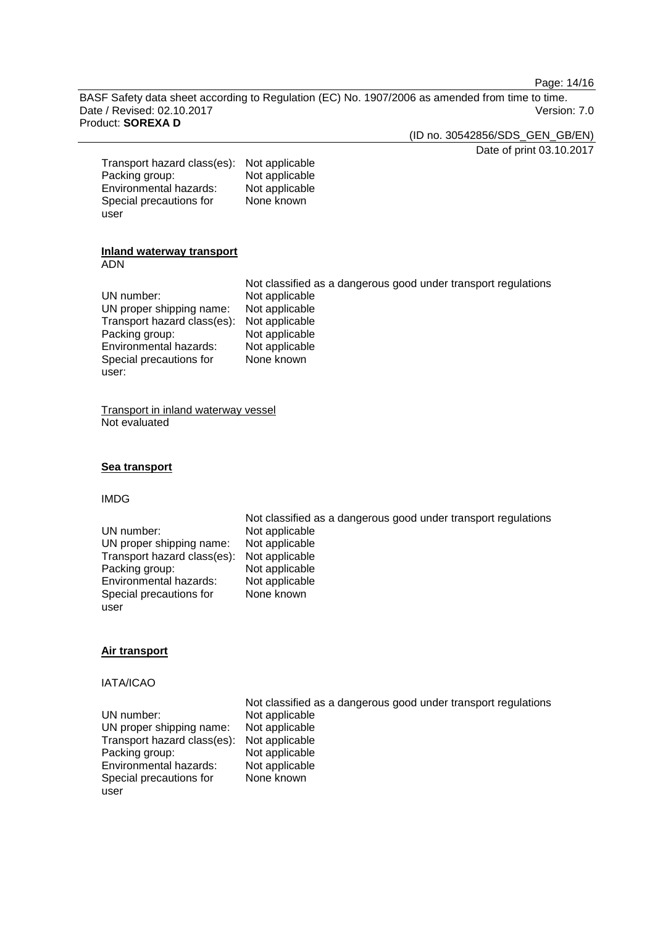Page: 14/16

BASF Safety data sheet according to Regulation (EC) No. 1907/2006 as amended from time to time. Date / Revised: 02.10.2017 **Version: 7.0** Product: **SOREXA D**

(ID no. 30542856/SDS\_GEN\_GB/EN)

Date of print 03.10.2017

| Transport hazard class(es): | Not applicable |
|-----------------------------|----------------|
| Packing group:              | Not applicable |
| Environmental hazards:      | Not applicable |
| Special precautions for     | None known     |
| user                        |                |
|                             |                |

#### **Inland waterway transport** ADN

|                             | Not classified as a dangerous good under transport regulations |
|-----------------------------|----------------------------------------------------------------|
| UN number:                  | Not applicable                                                 |
| UN proper shipping name:    | Not applicable                                                 |
| Transport hazard class(es): | Not applicable                                                 |
| Packing group:              | Not applicable                                                 |
| Environmental hazards:      | Not applicable                                                 |
| Special precautions for     | None known                                                     |
| user:                       |                                                                |

Transport in inland waterway vessel Not evaluated

#### **Sea transport**

## IMDG

|                             | Not classified as a dangerous good under transport regulations |
|-----------------------------|----------------------------------------------------------------|
| UN number:                  | Not applicable                                                 |
| UN proper shipping name:    | Not applicable                                                 |
| Transport hazard class(es): | Not applicable                                                 |
| Packing group:              | Not applicable                                                 |
| Environmental hazards:      | Not applicable                                                 |
| Special precautions for     | None known                                                     |
| user                        |                                                                |

## **Air transport**

## IATA/ICAO

|                                            | Not classified as a dangerous good under transport regulations |
|--------------------------------------------|----------------------------------------------------------------|
| UN number:                                 | Not applicable                                                 |
| UN proper shipping name:                   | Not applicable                                                 |
| Transport hazard class(es): Not applicable |                                                                |
| Packing group:                             | Not applicable                                                 |
| Environmental hazards:                     | Not applicable                                                 |
| Special precautions for                    | None known                                                     |
| user                                       |                                                                |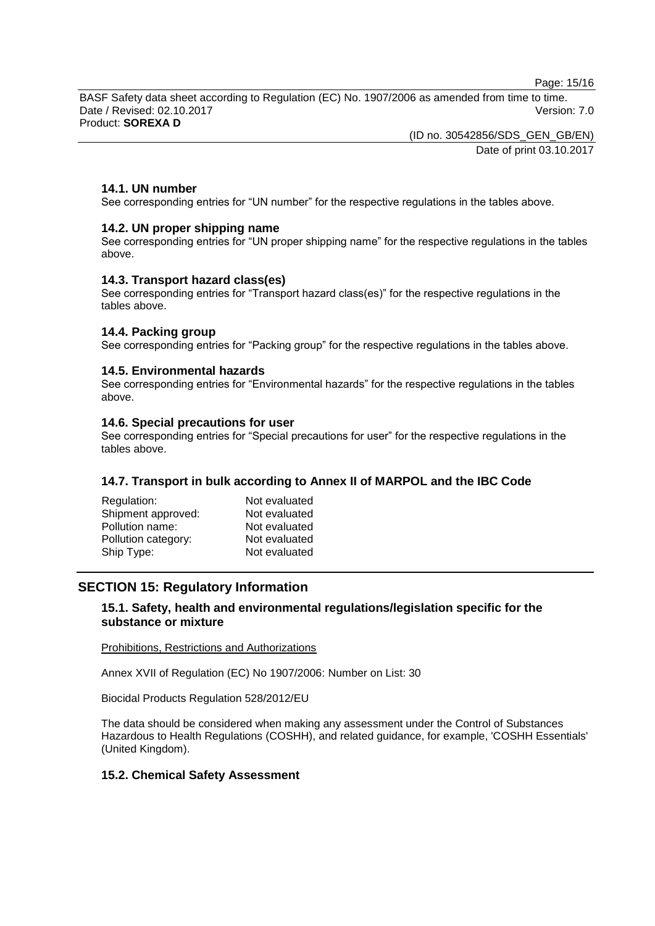Page: 15/16

BASF Safety data sheet according to Regulation (EC) No. 1907/2006 as amended from time to time. Date / Revised: 02.10.2017 Version: 7.0 Product: **SOREXA D**

> (ID no. 30542856/SDS\_GEN\_GB/EN) Date of print 03.10.2017

## **14.1. UN number**

See corresponding entries for "UN number" for the respective regulations in the tables above.

#### **14.2. UN proper shipping name**

See corresponding entries for "UN proper shipping name" for the respective regulations in the tables above.

#### **14.3. Transport hazard class(es)**

See corresponding entries for "Transport hazard class(es)" for the respective regulations in the tables above.

#### **14.4. Packing group**

See corresponding entries for "Packing group" for the respective regulations in the tables above.

#### **14.5. Environmental hazards**

See corresponding entries for "Environmental hazards" for the respective regulations in the tables above.

#### **14.6. Special precautions for user**

See corresponding entries for "Special precautions for user" for the respective regulations in the tables above.

## **14.7. Transport in bulk according to Annex II of MARPOL and the IBC Code**

| Regulation:         | Not evaluated |
|---------------------|---------------|
| Shipment approved:  | Not evaluated |
| Pollution name:     | Not evaluated |
| Pollution category: | Not evaluated |
| Ship Type:          | Not evaluated |

## **SECTION 15: Regulatory Information**

## **15.1. Safety, health and environmental regulations/legislation specific for the substance or mixture**

Prohibitions, Restrictions and Authorizations

Annex XVII of Regulation (EC) No 1907/2006: Number on List: 30

Biocidal Products Regulation 528/2012/EU

The data should be considered when making any assessment under the Control of Substances Hazardous to Health Regulations (COSHH), and related guidance, for example, 'COSHH Essentials' (United Kingdom).

#### **15.2. Chemical Safety Assessment**